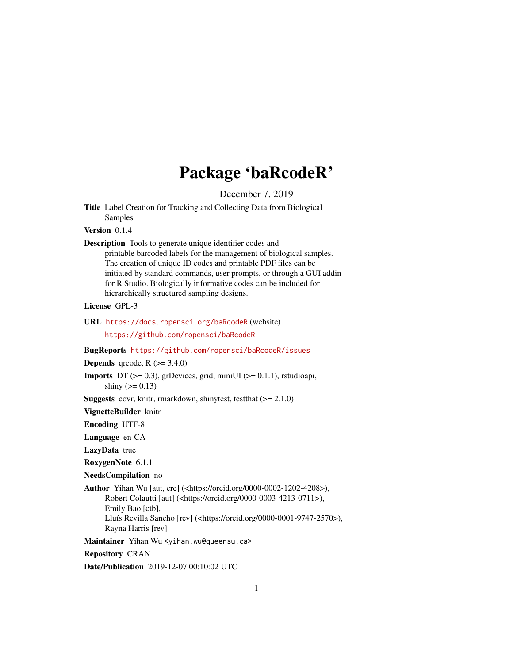## Package 'baRcodeR'

December 7, 2019

Title Label Creation for Tracking and Collecting Data from Biological Samples

Version 0.1.4

#### Description Tools to generate unique identifier codes and printable barcoded labels for the management of biological samples. The creation of unique ID codes and printable PDF files can be initiated by standard commands, user prompts, or through a GUI addin for R Studio. Biologically informative codes can be included for hierarchically structured sampling designs.

License GPL-3

URL <https://docs.ropensci.org/baRcodeR> (website)

<https://github.com/ropensci/baRcodeR>

BugReports <https://github.com/ropensci/baRcodeR/issues>

**Depends** qrcode,  $R$  ( $>= 3.4.0$ )

**Imports** DT  $(>= 0.3)$ , grDevices, grid, miniUI  $(>= 0.1.1)$ , rstudioapi, shiny ( $> = 0.13$ )

**Suggests** covr, knitr, rmarkdown, shinytest, test that  $(>= 2.1.0)$ 

VignetteBuilder knitr

Encoding UTF-8

Language en-CA

LazyData true

RoxygenNote 6.1.1

NeedsCompilation no

Author Yihan Wu [aut, cre] (<https://orcid.org/0000-0002-1202-4208>), Robert Colautti [aut] (<https://orcid.org/0000-0003-4213-0711>), Emily Bao [ctb], Lluís Revilla Sancho [rev] (<https://orcid.org/0000-0001-9747-2570>), Rayna Harris [rev]

Maintainer Yihan Wu <yihan.wu@queensu.ca>

Repository CRAN

Date/Publication 2019-12-07 00:10:02 UTC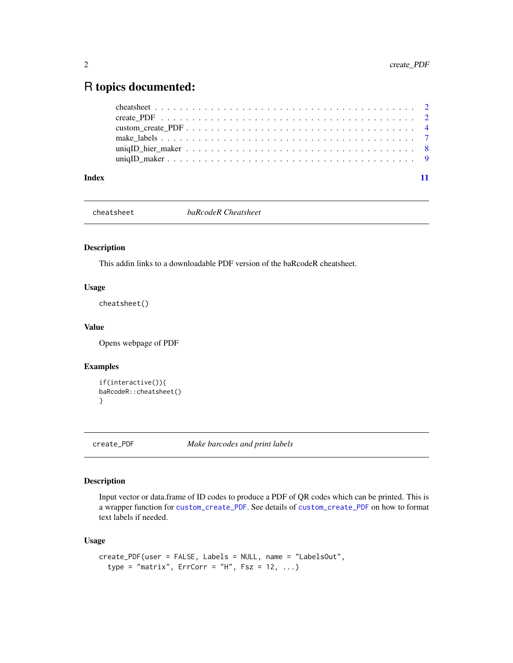### <span id="page-1-0"></span>R topics documented:

| Index |  |
|-------|--|

cheatsheet *baRcodeR Cheatsheet*

#### Description

This addin links to a downloadable PDF version of the baRcodeR cheatsheet.

#### Usage

cheatsheet()

#### Value

Opens webpage of PDF

#### Examples

```
if(interactive()){
baRcodeR::cheatsheet()
}
```
<span id="page-1-1"></span>create\_PDF *Make barcodes and print labels*

#### Description

Input vector or data.frame of ID codes to produce a PDF of QR codes which can be printed. This is a wrapper function for [custom\\_create\\_PDF](#page-3-1). See details of [custom\\_create\\_PDF](#page-3-1) on how to format text labels if needed.

#### Usage

```
create_PDF(user = FALSE, Labels = NULL, name = "LabelsOut",
  type = "matrix", Error = "H", Fsz = 12, ...
```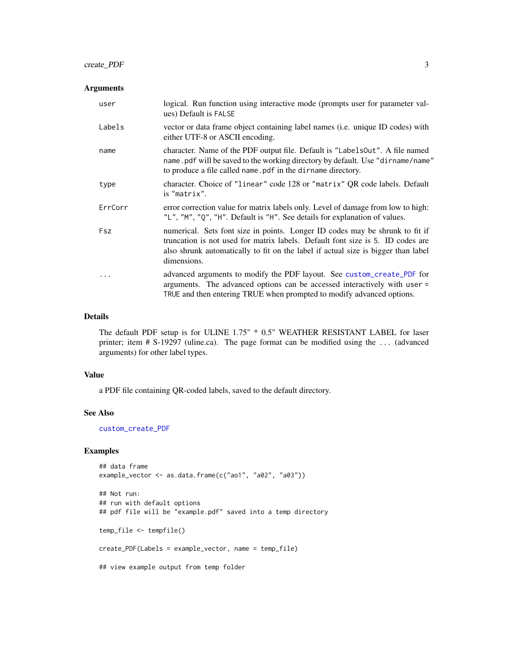#### <span id="page-2-0"></span>create\_PDF 3

#### Arguments

| user    | logical. Run function using interactive mode (prompts user for parameter val-<br>ues) Default is FALSE                                                                                                                                                             |
|---------|--------------------------------------------------------------------------------------------------------------------------------------------------------------------------------------------------------------------------------------------------------------------|
| Labels  | vector or data frame object containing label names (i.e. unique ID codes) with<br>either UTF-8 or ASCII encoding.                                                                                                                                                  |
| name    | character. Name of the PDF output file. Default is "LabelsOut". A file named<br>name, pdf will be saved to the working directory by default. Use "dirname/name"<br>to produce a file called name. pdf in the dirname directory.                                    |
| type    | character. Choice of "linear" code 128 or "matrix" QR code labels. Default<br>is "matrix".                                                                                                                                                                         |
| ErrCorr | error correction value for matrix labels only. Level of damage from low to high:<br>"L", "M", "Q", "H". Default is "H". See details for explanation of values.                                                                                                     |
| Fsz     | numerical. Sets font size in points. Longer ID codes may be shrunk to fit if<br>truncation is not used for matrix labels. Default font size is 5. ID codes are<br>also shrunk automatically to fit on the label if actual size is bigger than label<br>dimensions. |
| .       | advanced arguments to modify the PDF layout. See custom_create_PDF for<br>arguments. The advanced options can be accessed interactively with user =<br>TRUE and then entering TRUE when prompted to modify advanced options.                                       |

#### Details

The default PDF setup is for ULINE 1.75" \* 0.5" WEATHER RESISTANT LABEL for laser printer; item # S-19297 (uline.ca). The page format can be modified using the ... (advanced arguments) for other label types.

#### Value

a PDF file containing QR-coded labels, saved to the default directory.

#### See Also

[custom\\_create\\_PDF](#page-3-1)

```
## data frame
example_vector <- as.data.frame(c("ao1", "a02", "a03"))
## Not run:
## run with default options
## pdf file will be "example.pdf" saved into a temp directory
temp_file <- tempfile()
create_PDF(Labels = example_vector, name = temp_file)
## view example output from temp folder
```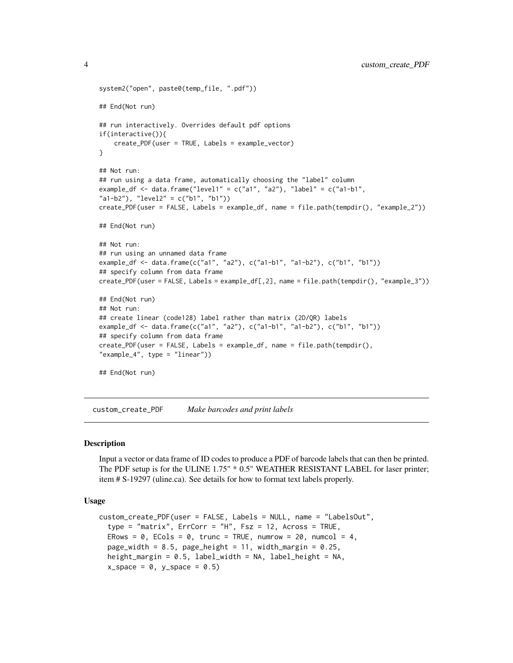```
system2("open", paste0(temp_file, ".pdf"))
## End(Not run)
## run interactively. Overrides default pdf options
if(interactive()){
   create_PDF(user = TRUE, Labels = example_vector)
}
## Not run:
## run using a data frame, automatically choosing the "label" column
example_df <- data.frame("level1" = c("a1", "a2"), "label" = c("a1-b1",
"a1-b2"), "level2" = c("b1", "b1"))
create_PDF(user = FALSE, Labels = example_df, name = file.path(tempdir(), "example_2"))
## End(Not run)
## Not run:
## run using an unnamed data frame
example_df <- data.frame(c("a1", "a2"), c("a1-b1", "a1-b2"), c("b1", "b1"))
## specify column from data frame
create_PDF(user = FALSE, Labels = example_df[,2], name = file.path(tempdir(), "example_3"))
## End(Not run)
## Not run:
## create linear (code128) label rather than matrix (2D/QR) labels
example_df <- data.frame(c("a1", "a2"), c("a1-b1", "a1-b2"), c("b1", "b1"))
## specify column from data frame
create_PDF(user = FALSE, Labels = example_df, name = file.path(tempdir(),
"example_4", type = "linear"))
## End(Not run)
```
<span id="page-3-1"></span>custom\_create\_PDF *Make barcodes and print labels*

#### Description

Input a vector or data frame of ID codes to produce a PDF of barcode labels that can then be printed. The PDF setup is for the ULINE 1.75" \* 0.5" WEATHER RESISTANT LABEL for laser printer; item # S-19297 (uline.ca). See details for how to format text labels properly.

#### Usage

```
custom_create_PDF(user = FALSE, Labels = NULL, name = "LabelsOut",
  type = "matrix", Error = "H", Fsz = 12, Across = TRUE,ERows = \theta, ECols = \theta, trunc = TRUE, numrow = 2\theta, numcol = 4,
  page_width = 8.5, page_height = 11, width_margin = 0.25,
  height_margin = 0.5, label_width = NA, label_height = NA,
  x_space = 0, y_space = 0.5)
```
<span id="page-3-0"></span>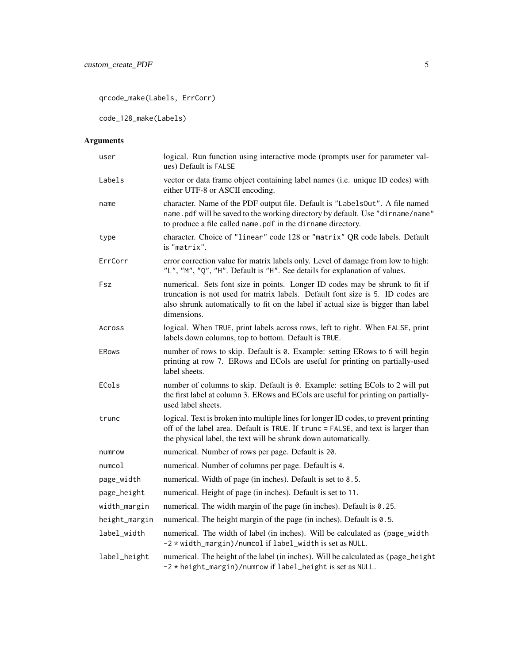qrcode\_make(Labels, ErrCorr)

code\_128\_make(Labels)

#### Arguments

| user          | logical. Run function using interactive mode (prompts user for parameter val-<br>ues) Default is FALSE                                                                                                                                                             |
|---------------|--------------------------------------------------------------------------------------------------------------------------------------------------------------------------------------------------------------------------------------------------------------------|
| Labels        | vector or data frame object containing label names (i.e. unique ID codes) with<br>either UTF-8 or ASCII encoding.                                                                                                                                                  |
| name          | character. Name of the PDF output file. Default is "LabelsOut". A file named<br>name.pdf will be saved to the working directory by default. Use "dirname/name"<br>to produce a file called name.pdf in the dirname directory.                                      |
| type          | character. Choice of "linear" code 128 or "matrix" QR code labels. Default<br>is "matrix".                                                                                                                                                                         |
| ErrCorr       | error correction value for matrix labels only. Level of damage from low to high:<br>"L", "M", "Q", "H". Default is "H". See details for explanation of values.                                                                                                     |
| Fsz           | numerical. Sets font size in points. Longer ID codes may be shrunk to fit if<br>truncation is not used for matrix labels. Default font size is 5. ID codes are<br>also shrunk automatically to fit on the label if actual size is bigger than label<br>dimensions. |
| Across        | logical. When TRUE, print labels across rows, left to right. When FALSE, print<br>labels down columns, top to bottom. Default is TRUE.                                                                                                                             |
| <b>ERows</b>  | number of rows to skip. Default is 0. Example: setting ERows to 6 will begin<br>printing at row 7. ERows and ECols are useful for printing on partially-used<br>label sheets.                                                                                      |
| ECols         | number of columns to skip. Default is 0. Example: setting ECols to 2 will put<br>the first label at column 3. ERows and ECols are useful for printing on partially-<br>used label sheets.                                                                          |
| trunc         | logical. Text is broken into multiple lines for longer ID codes, to prevent printing<br>off of the label area. Default is TRUE. If trunc = FALSE, and text is larger than<br>the physical label, the text will be shrunk down automatically.                       |
| numrow        | numerical. Number of rows per page. Default is 20.                                                                                                                                                                                                                 |
| numcol        | numerical. Number of columns per page. Default is 4.                                                                                                                                                                                                               |
| page_width    | numerical. Width of page (in inches). Default is set to 8.5.                                                                                                                                                                                                       |
| page_height   | numerical. Height of page (in inches). Default is set to 11.                                                                                                                                                                                                       |
| width_margin  | numerical. The width margin of the page (in inches). Default is 0.25.                                                                                                                                                                                              |
| height_margin | numerical. The height margin of the page (in inches). Default is 0.5.                                                                                                                                                                                              |
| label_width   | numerical. The width of label (in inches). Will be calculated as (page_width<br>-2 * width_margin)/numcol if label_width is set as NULL.                                                                                                                           |
| label_height  | numerical. The height of the label (in inches). Will be calculated as (page_height<br>-2 * height_margin)/numrow if label_height is set as NULL.                                                                                                                   |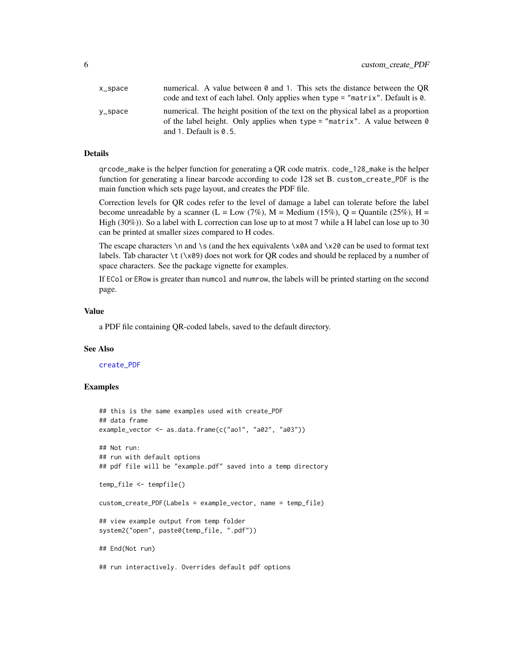<span id="page-5-0"></span>

| $x$ _space | numerical. A value between $\theta$ and 1. This sets the distance between the QR |
|------------|----------------------------------------------------------------------------------|
|            | code and text of each label. Only applies when type $=$ "matrix". Default is 0.  |
| $V$ _space | numerical. The height position of the text on the physical label as a proportion |
|            | of the label height. Only applies when type = "matrix". A value between $\theta$ |
|            | and 1. Default is $0.5$ .                                                        |

#### Details

qrcode\_make is the helper function for generating a QR code matrix. code\_128\_make is the helper function for generating a linear barcode according to code 128 set B. custom\_create\_PDF is the main function which sets page layout, and creates the PDF file.

Correction levels for QR codes refer to the level of damage a label can tolerate before the label become unreadable by a scanner (L = Low (7%), M = Medium (15%), Q = Quantile (25%), H = High (30%)). So a label with L correction can lose up to at most 7 while a H label can lose up to 30 can be printed at smaller sizes compared to H codes.

The escape characters  $\n\times$  and  $\simeq$  (and the hex equivalents  $\times$ 0A and  $\times$ 20 can be used to format text labels. Tab character \t (\x09) does not work for QR codes and should be replaced by a number of space characters. See the package vignette for examples.

If ECol or ERow is greater than numcol and numrow, the labels will be printed starting on the second page.

#### Value

a PDF file containing QR-coded labels, saved to the default directory.

#### See Also

#### [create\\_PDF](#page-1-1)

```
## this is the same examples used with create_PDF
## data frame
example_vector <- as.data.frame(c("ao1", "a02", "a03"))
## Not run:
## run with default options
## pdf file will be "example.pdf" saved into a temp directory
temp_file <- tempfile()
custom_create_PDF(Labels = example_vector, name = temp_file)
## view example output from temp folder
system2("open", paste0(temp_file, ".pdf"))
## End(Not run)
## run interactively. Overrides default pdf options
```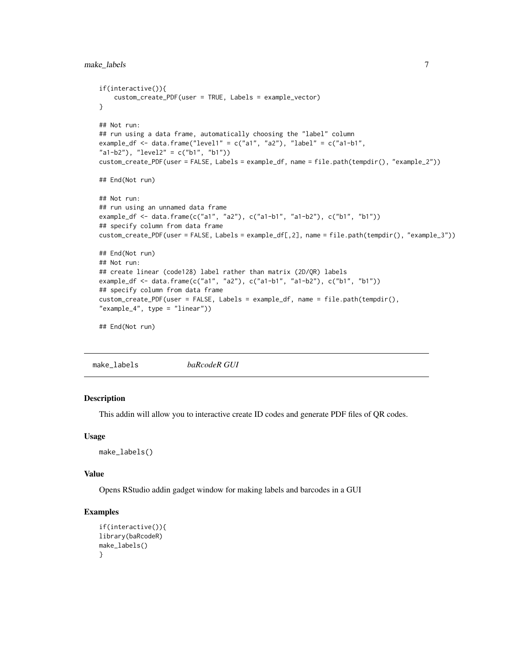```
if(interactive()){
    custom_create_PDF(user = TRUE, Labels = example_vector)
}
## Not run:
## run using a data frame, automatically choosing the "label" column
example_df <- data.frame("level1" = c("a1", "a2"), "label" = c("a1-b1","a1-b2"), "level2" = c("b1", "b1"))
custom_create_PDF(user = FALSE, Labels = example_df, name = file.path(tempdir(), "example_2"))
## End(Not run)
## Not run:
## run using an unnamed data frame
example_df <- data.frame(c("a1", "a2"), c("a1-b1", "a1-b2"), c("b1", "b1"))
## specify column from data frame
custom_create_PDF(user = FALSE, Labels = example_df[,2], name = file.path(tempdir(), "example_3"))
## End(Not run)
## Not run:
## create linear (code128) label rather than matrix (2D/QR) labels
example_df <- data.frame(c("a1", "a2"), c("a1-b1", "a1-b2"), c("b1", "b1"))
## specify column from data frame
custom_create_PDF(user = FALSE, Labels = example_df, name = file.path(tempdir(),
"example_4", type = "linear"))
## End(Not run)
```
make\_labels *baRcodeR GUI*

#### Description

This addin will allow you to interactive create ID codes and generate PDF files of QR codes.

#### Usage

```
make_labels()
```
#### Value

Opens RStudio addin gadget window for making labels and barcodes in a GUI

```
if(interactive()){
library(baRcodeR)
make_labels()
}
```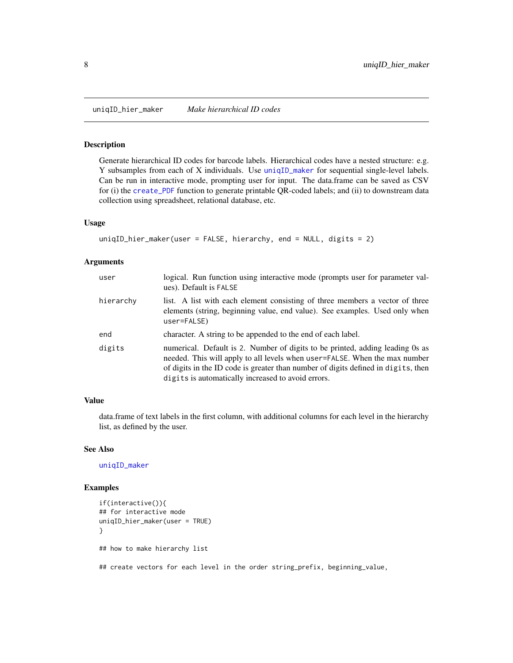<span id="page-7-1"></span><span id="page-7-0"></span>

#### Description

Generate hierarchical ID codes for barcode labels. Hierarchical codes have a nested structure: e.g. Y subsamples from each of X individuals. Use [uniqID\\_maker](#page-8-1) for sequential single-level labels. Can be run in interactive mode, prompting user for input. The data.frame can be saved as CSV for (i) the [create\\_PDF](#page-1-1) function to generate printable QR-coded labels; and (ii) to downstream data collection using spreadsheet, relational database, etc.

#### Usage

```
uniqID_hier_maker(user = FALSE, hierarchy, end = NULL, digits = 2)
```
#### Arguments

| user      | logical. Run function using interactive mode (prompts user for parameter val-<br>ues). Default is FALSE                                                                                                                                                                                                |
|-----------|--------------------------------------------------------------------------------------------------------------------------------------------------------------------------------------------------------------------------------------------------------------------------------------------------------|
| hierarchy | list. A list with each element consisting of three members a vector of three<br>elements (string, beginning value, end value). See examples. Used only when<br>user=FALSE)                                                                                                                             |
| end       | character. A string to be appended to the end of each label.                                                                                                                                                                                                                                           |
| digits    | numerical. Default is 2. Number of digits to be printed, adding leading 0s as<br>needed. This will apply to all levels when user=FALSE. When the max number<br>of digits in the ID code is greater than number of digits defined in digits, then<br>digits is automatically increased to avoid errors. |

#### Value

data.frame of text labels in the first column, with additional columns for each level in the hierarchy list, as defined by the user.

#### See Also

[uniqID\\_maker](#page-8-1)

```
if(interactive()){
## for interactive mode
uniqID_hier_maker(user = TRUE)
}
## how to make hierarchy list
## create vectors for each level in the order string_prefix, beginning_value,
```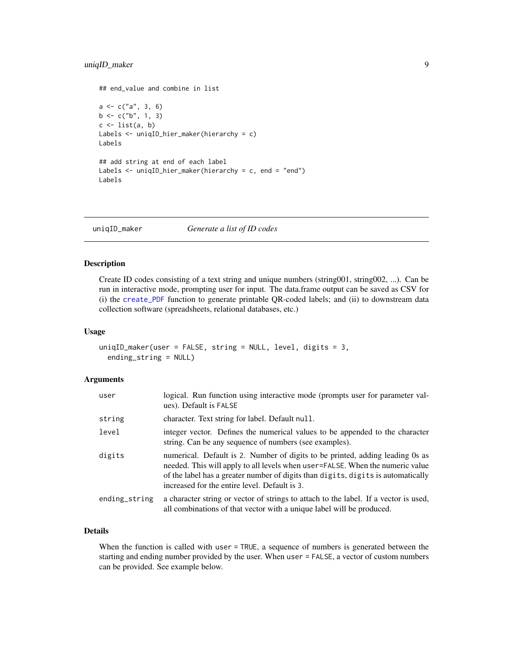#### <span id="page-8-0"></span>uniqID\_maker 9

```
## end_value and combine in list
a \leq c("a", 3, 6)b \leq c("b", 1, 3)c \leftarrow list(a, b)Labels <- uniqID_hier_maker(hierarchy = c)
Labels
## add string at end of each label
Labels <- uniqID_hier_maker(hierarchy = c, end = "end")
Labels
```
<span id="page-8-1"></span>uniqID\_maker *Generate a list of ID codes*

#### Description

Create ID codes consisting of a text string and unique numbers (string001, string002, ...). Can be run in interactive mode, prompting user for input. The data.frame output can be saved as CSV for (i) the [create\\_PDF](#page-1-1) function to generate printable QR-coded labels; and (ii) to downstream data collection software (spreadsheets, relational databases, etc.)

#### Usage

```
uniqID_maker(user = FALSE, string = NULL, level, digits = 3,
  ending_string = NULL)
```
#### Arguments

| user          | logical. Run function using interactive mode (prompts user for parameter val-<br>ues). Default is FALSE                                                                                                                                                                                             |
|---------------|-----------------------------------------------------------------------------------------------------------------------------------------------------------------------------------------------------------------------------------------------------------------------------------------------------|
| string        | character. Text string for label. Default null.                                                                                                                                                                                                                                                     |
| level         | integer vector. Defines the numerical values to be appended to the character<br>string. Can be any sequence of numbers (see examples).                                                                                                                                                              |
| digits        | numerical. Default is 2. Number of digits to be printed, adding leading 0s as<br>needed. This will apply to all levels when user=FALSE. When the numeric value<br>of the label has a greater number of digits than digits, digits is automatically<br>increased for the entire level. Default is 3. |
| ending_string | a character string or vector of strings to attach to the label. If a vector is used,<br>all combinations of that vector with a unique label will be produced.                                                                                                                                       |

#### Details

When the function is called with user = TRUE, a sequence of numbers is generated between the starting and ending number provided by the user. When user = FALSE, a vector of custom numbers can be provided. See example below.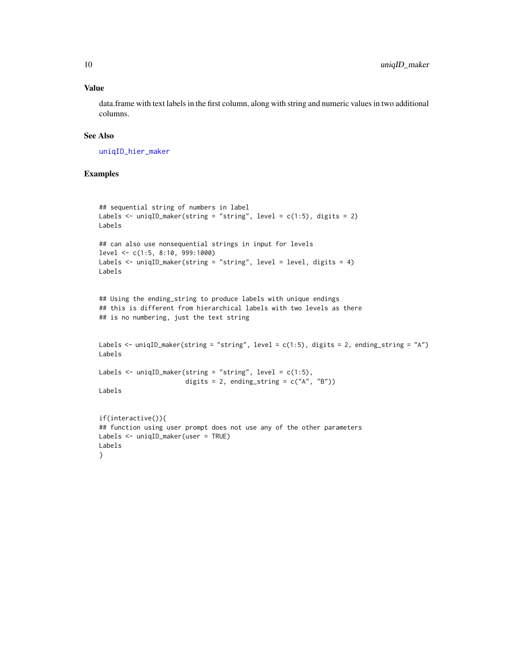#### Value

data.frame with text labels in the first column, along with string and numeric values in two additional columns.

#### See Also

[uniqID\\_hier\\_maker](#page-7-1)

```
## sequential string of numbers in label
Labels \le uniqID_maker(string = "string", level = c(1:5), digits = 2)
Labels
## can also use nonsequential strings in input for levels
level <- c(1:5, 8:10, 999:1000)
Labels <- uniqID_maker(string = "string", level = level, digits = 4)
Labels
## Using the ending_string to produce labels with unique endings
## this is different from hierarchical labels with two levels as there
## is no numbering, just the text string
Labels <- uniqID_maker(string = "string", level = c(1:5), digits = 2, ending_string = "A")
Labels
Labels <- uniqID_maker(string = "string", level = c(1:5),
                       digits = 2, ending_string = c("A", "B"))
Labels
if(interactive()){
## function using user prompt does not use any of the other parameters
Labels <- uniqID_maker(user = TRUE)
Labels
}
```
<span id="page-9-0"></span>